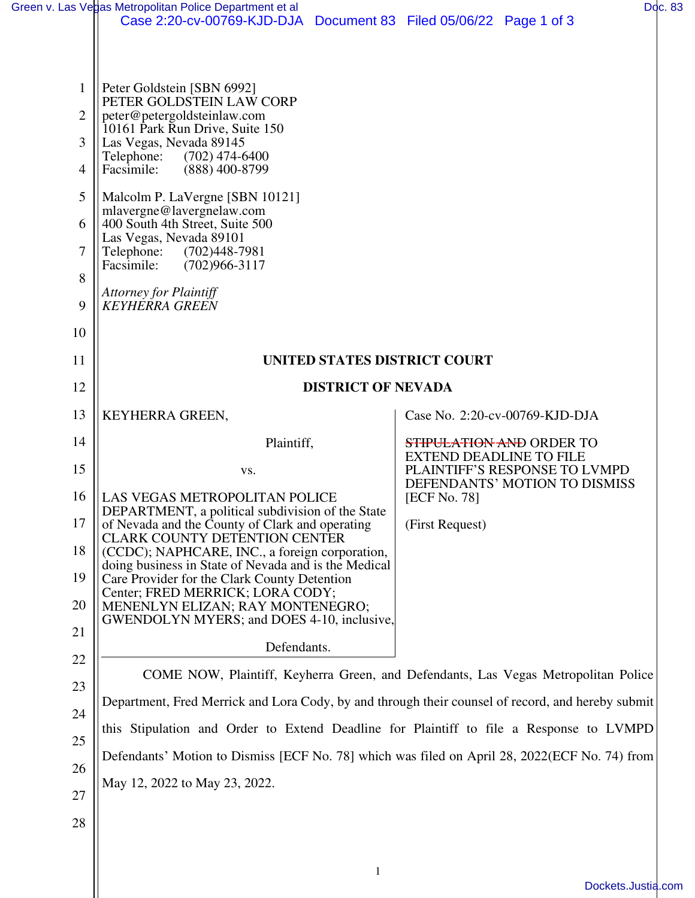|                | Green v. Las Vegas Metropolitan Police Department et al                                              |                                                                                                                         |                                | Doc. 83 |  |  |  |  |  |  |
|----------------|------------------------------------------------------------------------------------------------------|-------------------------------------------------------------------------------------------------------------------------|--------------------------------|---------|--|--|--|--|--|--|
|                | Case 2:20-cv-00769-KJD-DJA Document 83 Filed 05/06/22 Page 1 of 3                                    |                                                                                                                         |                                |         |  |  |  |  |  |  |
|                |                                                                                                      |                                                                                                                         |                                |         |  |  |  |  |  |  |
| $\mathbf{1}$   | Peter Goldstein [SBN 6992]<br>PETER GOLDSTEIN LAW CORP                                               |                                                                                                                         |                                |         |  |  |  |  |  |  |
| $\overline{2}$ | peter@petergoldsteinlaw.com<br>10161 Park Run Drive, Suite 150                                       |                                                                                                                         |                                |         |  |  |  |  |  |  |
| $\overline{3}$ | Las Vegas, Nevada 89145<br>$(702)$ 474-6400<br>Telephone:                                            |                                                                                                                         |                                |         |  |  |  |  |  |  |
| 4              | Facsimile:<br>$(888)$ 400-8799                                                                       |                                                                                                                         |                                |         |  |  |  |  |  |  |
| 5              | Malcolm P. LaVergne [SBN 10121]                                                                      |                                                                                                                         |                                |         |  |  |  |  |  |  |
| 6              | mlavergne@lavergnelaw.com<br>400 South 4th Street, Suite 500                                         |                                                                                                                         |                                |         |  |  |  |  |  |  |
| 7              | Las Vegas, Nevada 89101<br>(702)448-7981<br>Telephone:                                               |                                                                                                                         |                                |         |  |  |  |  |  |  |
| 8              | Facsimile:<br>$(702)966 - 3117$                                                                      |                                                                                                                         |                                |         |  |  |  |  |  |  |
| 9              | <b>Attorney for Plaintiff</b><br><b>KEYHERRA GREEN</b>                                               |                                                                                                                         |                                |         |  |  |  |  |  |  |
| 10             |                                                                                                      |                                                                                                                         |                                |         |  |  |  |  |  |  |
| 11             | UNITED STATES DISTRICT COURT                                                                         |                                                                                                                         |                                |         |  |  |  |  |  |  |
| 12             | <b>DISTRICT OF NEVADA</b>                                                                            |                                                                                                                         |                                |         |  |  |  |  |  |  |
| 13             | KEYHERRA GREEN,                                                                                      |                                                                                                                         | Case No. 2:20-cv-00769-KJD-DJA |         |  |  |  |  |  |  |
| 14             | Plaintiff,                                                                                           |                                                                                                                         | STIPULATION AND ORDER TO       |         |  |  |  |  |  |  |
| 15             | VS.                                                                                                  | <b>EXTEND DEADLINE TO FILE</b><br>PLAINTIFF'S RESPONSE TO LVMPD<br>DEFENDANTS' MOTION TO DISMISS<br><b>[ECF No. 78]</b> |                                |         |  |  |  |  |  |  |
| 16             | <b>LAS VEGAS METROPOLITAN POLICE</b>                                                                 |                                                                                                                         |                                |         |  |  |  |  |  |  |
| 17             | DEPARTMENT, a political subdivision of the State<br>of Nevada and the County of Clark and operating  | (First Request)                                                                                                         |                                |         |  |  |  |  |  |  |
| 18             | <b>CLARK COUNTY DETENTION CENTER</b><br>(CCDC); NAPHCARE, INC., a foreign corporation,               |                                                                                                                         |                                |         |  |  |  |  |  |  |
| 19             | doing business in State of Nevada and is the Medical<br>Care Provider for the Clark County Detention |                                                                                                                         |                                |         |  |  |  |  |  |  |
| 20             | Center; FRED MERRICK; LORA CODY;<br>MENENLYN ELIZAN; RAY MONTENEGRO;                                 |                                                                                                                         |                                |         |  |  |  |  |  |  |
| 21             | GWENDOLYN MYERS; and DOES 4-10, inclusive,                                                           |                                                                                                                         |                                |         |  |  |  |  |  |  |
| 22             | Defendants.                                                                                          |                                                                                                                         |                                |         |  |  |  |  |  |  |
| 23             | COME NOW, Plaintiff, Keyherra Green, and Defendants, Las Vegas Metropolitan Police                   |                                                                                                                         |                                |         |  |  |  |  |  |  |
| 24             | Department, Fred Merrick and Lora Cody, by and through their counsel of record, and hereby submit    |                                                                                                                         |                                |         |  |  |  |  |  |  |
|                | this Stipulation and Order to Extend Deadline for Plaintiff to file a Response to LVMPD              |                                                                                                                         |                                |         |  |  |  |  |  |  |
| 25             | Defendants' Motion to Dismiss [ECF No. 78] which was filed on April 28, 2022(ECF No. 74) from        |                                                                                                                         |                                |         |  |  |  |  |  |  |
| 26             | May 12, 2022 to May 23, 2022.                                                                        |                                                                                                                         |                                |         |  |  |  |  |  |  |
| 27             |                                                                                                      |                                                                                                                         |                                |         |  |  |  |  |  |  |
| 28             |                                                                                                      |                                                                                                                         |                                |         |  |  |  |  |  |  |
|                |                                                                                                      |                                                                                                                         |                                |         |  |  |  |  |  |  |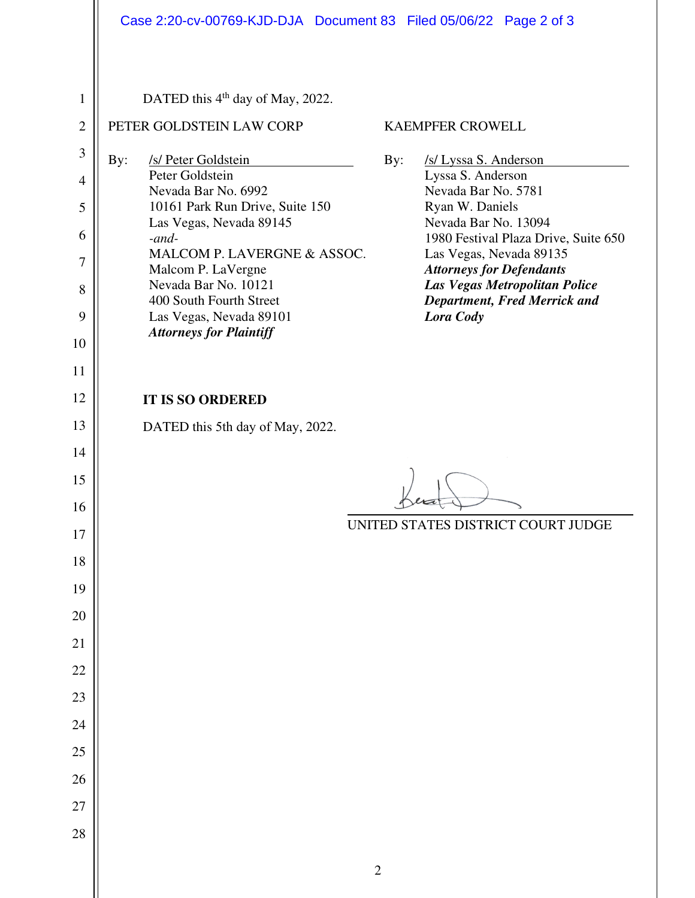## 1 2 3 4 5 6 7 8 9 10 11 12 13 14 15 16 17 18 19 20 21 22 23 24 25 26 27 28 DATED this 4<sup>th</sup> day of May, 2022. PETER GOLDSTEIN LAW CORP By: /s/ Peter Goldstein Peter Goldstein Nevada Bar No. 6992 10161 Park Run Drive, Suite 150 Las Vegas, Nevada 89145 *-and-*MALCOM P. LAVERGNE & ASSOC. Malcom P. LaVergne Nevada Bar No. 10121 400 South Fourth Street Las Vegas, Nevada 89101 *Attorneys for Plaintiff* KAEMPFER CROWELL By: /s/ Lyssa S. Anderson Lyssa S. Anderson Nevada Bar No. 5781 Ryan W. Daniels Nevada Bar No. 13094 1980 Festival Plaza Drive, Suite 650 Las Vegas, Nevada 89135 *Attorneys for Defendants Las Vegas Metropolitan Police Department, Fred Merrick and Lora Cody*  **IT IS SO ORDERED** DATED this 5th day of May, 2022. UNITED STATES DISTRICT COURT JUDGE Case 2:20-cv-00769-KJD-DJA Document 83 Filed 05/06/22 Page 2 of 3